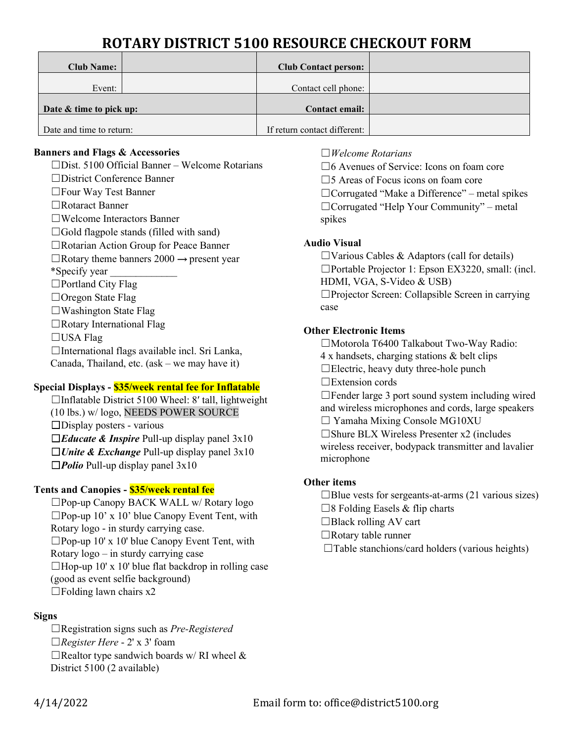# **ROTARY DISTRICT 5100 RESOURCE CHECKOUT FORM**

| <b>Club Name:</b>        | <b>Club Contact person:</b>  |  |
|--------------------------|------------------------------|--|
| Event:                   | Contact cell phone:          |  |
| Date & time to pick up:  | Contact email:               |  |
| Date and time to return: | If return contact different: |  |

#### **Banners and Flags & Accessories**

- ☐Dist. 5100 Official Banner Welcome Rotarians
- ☐District Conference Banner
- ☐Four Way Test Banner ☐Rotaract Banner
- ☐Welcome Interactors Banner
- 
- $\Box$ Gold flagpole stands (filled with sand)
- ☐Rotarian Action Group for Peace Banner
- $\Box$ Rotary theme banners 2000  $\rightarrow$  present year
- \*Specify year \_\_\_\_\_\_\_\_\_\_\_\_\_
- ☐Portland City Flag
- ☐Oregon State Flag
- ☐Washington State Flag
- ☐Rotary International Flag
- ☐USA Flag
- ☐International flags available incl. Sri Lanka,
- Canada, Thailand, etc. (ask we may have it)

## **Special Displays - \$35/week rental fee for Inflatable**

- ☐Inflatable District 5100 Wheel: 8′ tall, lightweight (10 lbs.) w/ logo, NEEDS POWER SOURCE ☐Display posters - various ☐*Educate & Inspire* Pull-up display panel 3x10
- 
- ☐*Unite & Exchange* Pull-up display panel 3x10
- ☐*Polio* Pull-up display panel 3x10

## **Tents and Canopies - \$35/week rental fee**

- ☐Pop-up Canopy BACK WALL w/ Rotary logo
- $\square$ Pop-up 10' x 10' blue Canopy Event Tent, with
- Rotary logo in sturdy carrying case.
- ☐Pop-up 10' x 10' blue Canopy Event Tent, with
- Rotary logo in sturdy carrying case
- $\Box$ Hop-up 10' x 10' blue flat backdrop in rolling case
- (good as event selfie background)
- $\Box$ Folding lawn chairs x2

## **Signs**

☐Registration signs such as *Pre-Registered* ☐*Register Here* - 2' x 3' foam  $\Box$ Realtor type sandwich boards w/ RI wheel & District 5100 (2 available)

## ☐*Welcome Rotarians*

☐6 Avenues of Service: Icons on foam core

□5 Areas of Focus icons on foam core

☐Corrugated "Make a Difference" – metal spikes ☐Corrugated "Help Your Community" – metal spikes

## **Audio Visual**

 $\Box$ Various Cables & Adaptors (call for details) ☐Portable Projector 1: Epson EX3220, small: (incl. HDMI, VGA, S-Video & USB) ☐Projector Screen: Collapsible Screen in carrying case

## **Other Electronic Items**

☐Motorola T6400 Talkabout Two-Way Radio:

- 4 x handsets, charging stations & belt clips
- $\Box$ Electric, heavy duty three-hole punch

☐Extension cords

 $\Box$ Fender large 3 port sound system including wired and wireless microphones and cords, large speakers  $\Box$  Yamaha Mixing Console MG10XU

 $\square$ Shure BLX Wireless Presenter x2 (includes

wireless receiver, bodypack transmitter and lavalier microphone

## **Other items**

- $\Box$ Blue vests for sergeants-at-arms (21 various sizes)
- $\square$ 8 Folding Easels & flip charts
- $\Box$ Black rolling AV cart
- ☐Rotary table runner
- $\Box$ Table stanchions/card holders (various heights)